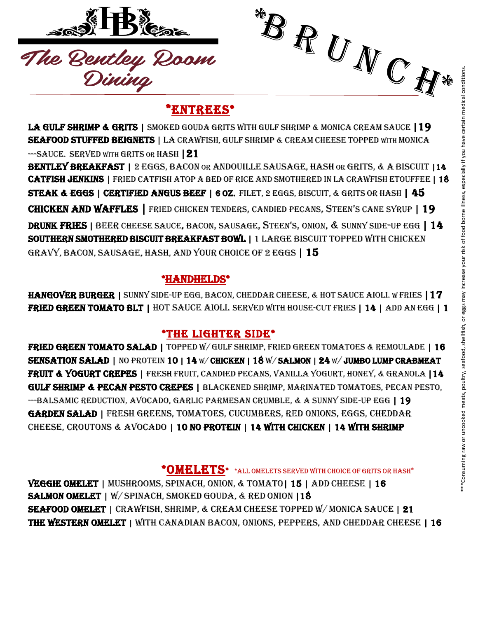

### \*ENTREES\*

LA GULF SHRIMP & GRITS | SMOKED GOUDA GRITS WITH GULF SHRIMP & MONICA CREAM SAUCE | 19 SEAFOOD STUFFED BEIGNETS | LA CRAWFISH, GULF SHRIMP & CREAM CHEESE TOPPED WITH MONICA --SAUCE. SERVED WITH GRITS OR HASH | 21

BENTLEY BREAKFAST | 2 EGGS, BACON OR ANDOUILLE SAUSAGE, HASH OR GRITS, & A BISCUIT | 14 CATFISH JENKINS | FRIED CATFISH ATOP A BED OF RICE AND SMOTHERED IN LA CRAWFISH ETOUFFEE | 18 STEAK & EGGS | CERTIFIED ANGUS BEEF | 6 OZ. FILET, 2 EGGS, BISCUIT, & GRITS OR HASH | 45 CHICKEN AND WAFFLES | FRIED CHICKEN TENDERS, CANDIED PECANS, STEEN'<sup>S</sup> CANE SYRUP | 19 DRUNK FRIES | BEER CHEESE SAUCE, BACON, SAUSAGE, STEEN'S, ONION, & SUNNY SIDE-UP EGG | 14 SOUTHERN SMOTHERED BISCUIT BREAKFAST BOWL | 1 LARGE BISCUIT TOPPED WITH CHICKEN GRAVY, BACON, SAUSAGE, HASH, AND YOUR CHOICE OF 2 EGGS | 15 **EXAMPLE RAW OR UNCOOKED RAW OR UNCOOKED MEATS (1998)**<br>
SERVED WITHOUT BE CONSUMED COURS GUINE SHEMING CHEAN CHEAN CHEAN CHEAN CHEAN CHEAN CHEAN CHEAN CHEAN CHEAN CHEAN CHEAN CHEAN CHEAN CHEAN CHEAN CHEAN CHEAN CHEAN CHEA

#### \*HANDHELDS\*

HANGOVER BURGER | SUNNY SIDE-UP EGG, BACON, CHEDDAR CHEESE, & HOT SAUCE AIOLI. WFRIES | 17 FRIED GREEN TOMATO BLT | HOT SAUCE AIOLI. SERVED WITH HOUSE-CUT FRIES | 14 | ADD AN EGG | 1

#### \*THE LIGHTER SIDE\*

FRIED GREEN TOMATO SALAD | TOPPED W/GULF SHRIMP, FRIED GREEN TOMATOES & REMOULADE | 16 SENSATION SALAD | NO PROTEIN 10 | 14 W/ CHICKEN | 18 W/ SALMON | 24 W/ JUMBO LUMP CRABMEAT FRUIT & YOGURT CREPES | FRESH FRUIT, CANDIED PECANS, VANILLA YOGURT, HONEY, & GRANOLA | 14 GULF SHRIMP & PECAN PESTO CREPES | BLACKENED SHRIMP, MARINATED TOMATOES, PECAN PESTO, --BALSAMIC REDUCTION, AVOCADO, GARLIC PARMESAN CRUMBLE, & A SUNNY SIDE-UP EGG | 19 Garden Salad | fresh greens, tomatoes, cucumbers, red onions, eggs, cheddar cheese, croutons & avocado | 10 no protein | 14 with chicken | 14 with shrimp

 $^*$ OMELETS\*  $^*$ ALL OMELETS SERVED WITH CHOICE OF GRITS OR HASH\*

VEGGIE OMELET | MUSHROOMS, SPINACH, ONION, & TOMATO| 15 | ADD CHEESE | 16 SALMON OMELET | W/SPINACH, SMOKED GOUDA, & RED ONION | 18 SEAFOOD OMELET | CRAWFISH, SHRIMP, & CREAM CHEESE TOPPED W/ MONICA SAUCE | 21 THE WESTERN OMELET | WITH CANADIAN BACON, ONIONS, PEPPERS, AND CHEDDAR CHEESE | 16